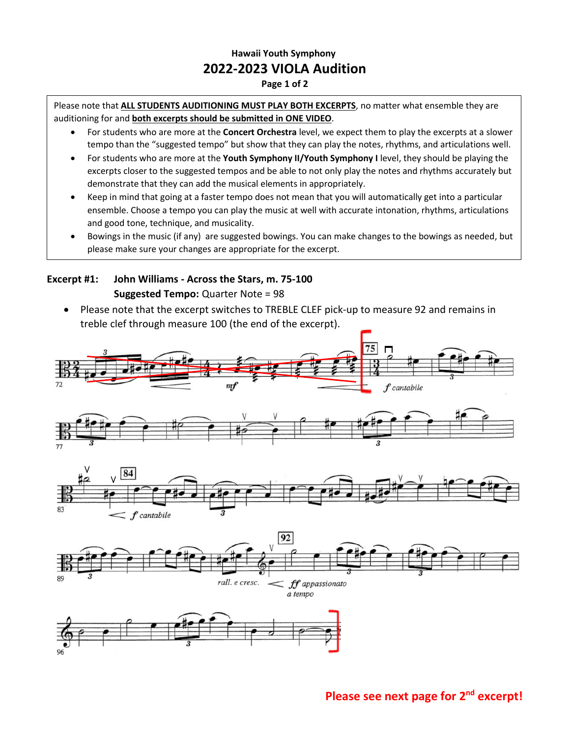# **Hawaii Youth Symphony 2022-2023 VIOLA Audition**

#### **Page 1 of 2**

Please note that **ALL STUDENTS AUDITIONING MUST PLAY BOTH EXCERPTS**, no matter what ensemble they are auditioning for and **both excerpts should be submitted in ONE VIDEO**.

- For students who are more at the **Concert Orchestra** level, we expect them to play the excerpts at a slower tempo than the "suggested tempo" but show that they can play the notes, rhythms, and articulations well.
- For students who are more at the **Youth Symphony II/Youth Symphony I** level, they should be playing the excerpts closer to the suggested tempos and be able to not only play the notes and rhythms accurately but demonstrate that they can add the musical elements in appropriately.
- Keep in mind that going at a faster tempo does not mean that you will automatically get into a particular ensemble. Choose a tempo you can play the music at well with accurate intonation, rhythms, articulations and good tone, technique, and musicality.
- Bowings in the music (if any) are suggested bowings. You can make changes to the bowings as needed, but please make sure your changes are appropriate for the excerpt.

### **Excerpt #1: John Williams - Across the Stars, m. 75-100 Suggested Tempo:** Quarter Note = 98

•

• Please note that the excerpt switches to TREBLE CLEF pick-up to measure 92 and remains in treble clef through measure 100 (the end of the excerpt).



# **Please see next page for 2nd excerpt!**